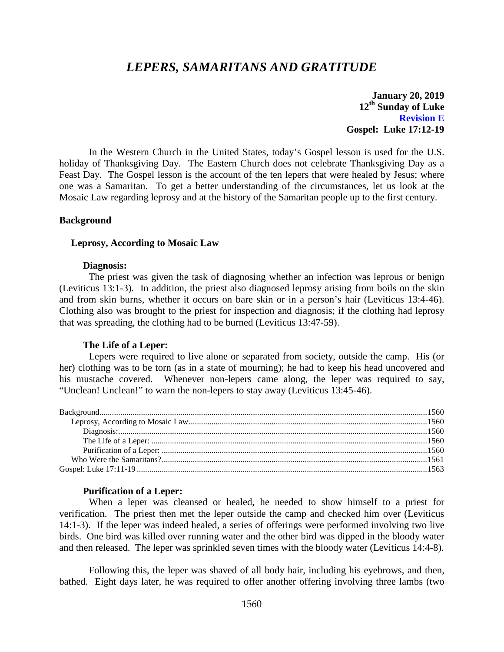# *LEPERS, SAMARITANS AND GRATITUDE*

**January 20, 2019 12th Sunday of Luke Revision E Gospel: Luke 17:12-19**

In the Western Church in the United States, today's Gospel lesson is used for the U.S. holiday of Thanksgiving Day. The Eastern Church does not celebrate Thanksgiving Day as a Feast Day. The Gospel lesson is the account of the ten lepers that were healed by Jesus; where one was a Samaritan. To get a better understanding of the circumstances, let us look at the Mosaic Law regarding leprosy and at the history of the Samaritan people up to the first century.

### <span id="page-0-0"></span>**Background**

#### <span id="page-0-1"></span>**Leprosy, According to Mosaic Law**

#### **Diagnosis:**

<span id="page-0-2"></span>The priest was given the task of diagnosing whether an infection was leprous or benign (Leviticus 13:1-3). In addition, the priest also diagnosed leprosy arising from boils on the skin and from skin burns, whether it occurs on bare skin or in a person's hair (Leviticus 13:4-46). Clothing also was brought to the priest for inspection and diagnosis; if the clothing had leprosy that was spreading, the clothing had to be burned (Leviticus 13:47-59).

#### **The Life of a Leper:**

<span id="page-0-3"></span>Lepers were required to live alone or separated from society, outside the camp. His (or her) clothing was to be torn (as in a state of mourning); he had to keep his head uncovered and his mustache covered. Whenever non-lepers came along, the leper was required to say, "Unclean! Unclean!" to warn the non-lepers to stay away (Leviticus 13:45-46).

#### **Purification of a Leper:**

<span id="page-0-4"></span>When a leper was cleansed or healed, he needed to show himself to a priest for verification. The priest then met the leper outside the camp and checked him over (Leviticus 14:1-3). If the leper was indeed healed, a series of offerings were performed involving two live birds. One bird was killed over running water and the other bird was dipped in the bloody water and then released. The leper was sprinkled seven times with the bloody water (Leviticus 14:4-8).

Following this, the leper was shaved of all body hair, including his eyebrows, and then, bathed. Eight days later, he was required to offer another offering involving three lambs (two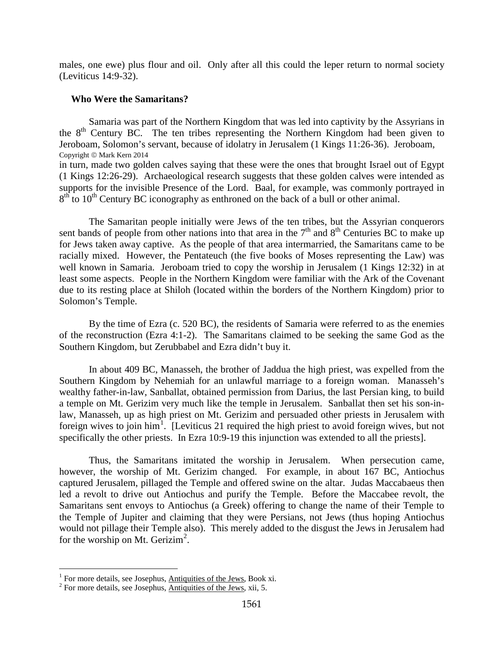males, one ewe) plus flour and oil. Only after all this could the leper return to normal society (Leviticus 14:9-32).

## <span id="page-1-0"></span>**Who Were the Samaritans?**

Samaria was part of the Northern Kingdom that was led into captivity by the Assyrians in the 8<sup>th</sup> Century BC. The ten tribes representing the Northern Kingdom had been given to Jeroboam, Solomon's servant, because of idolatry in Jerusalem (1 Kings 11:26-36). Jeroboam, Copyright © Mark Kern 2014

in turn, made two golden calves saying that these were the ones that brought Israel out of Egypt (1 Kings 12:26-29). Archaeological research suggests that these golden calves were intended as supports for the invisible Presence of the Lord. Baal, for example, was commonly portrayed in  $8<sup>th</sup>$  to 10<sup>th</sup> Century BC iconography as enthroned on the back of a bull or other animal.

The Samaritan people initially were Jews of the ten tribes, but the Assyrian conquerors sent bands of people from other nations into that area in the  $7<sup>th</sup>$  and  $8<sup>th</sup>$  Centuries BC to make up for Jews taken away captive. As the people of that area intermarried, the Samaritans came to be racially mixed. However, the Pentateuch (the five books of Moses representing the Law) was well known in Samaria. Jeroboam tried to copy the worship in Jerusalem (1 Kings 12:32) in at least some aspects. People in the Northern Kingdom were familiar with the Ark of the Covenant due to its resting place at Shiloh (located within the borders of the Northern Kingdom) prior to Solomon's Temple.

By the time of Ezra (c. 520 BC), the residents of Samaria were referred to as the enemies of the reconstruction (Ezra 4:1-2). The Samaritans claimed to be seeking the same God as the Southern Kingdom, but Zerubbabel and Ezra didn't buy it.

In about 409 BC, Manasseh, the brother of Jaddua the high priest, was expelled from the Southern Kingdom by Nehemiah for an unlawful marriage to a foreign woman. Manasseh's wealthy father-in-law, Sanballat, obtained permission from Darius, the last Persian king, to build a temple on Mt. Gerizim very much like the temple in Jerusalem. Sanballat then set his son-inlaw, Manasseh, up as high priest on Mt. Gerizim and persuaded other priests in Jerusalem with foreign wives to join him<sup>[1](#page-1-1)</sup>. [Leviticus 21 required the high priest to avoid foreign wives, but not specifically the other priests. In Ezra 10:9-19 this injunction was extended to all the priests].

Thus, the Samaritans imitated the worship in Jerusalem. When persecution came, however, the worship of Mt. Gerizim changed. For example, in about 167 BC, Antiochus captured Jerusalem, pillaged the Temple and offered swine on the altar. Judas Maccabaeus then led a revolt to drive out Antiochus and purify the Temple. Before the Maccabee revolt, the Samaritans sent envoys to Antiochus (a Greek) offering to change the name of their Temple to the Temple of Jupiter and claiming that they were Persians, not Jews (thus hoping Antiochus would not pillage their Temple also). This merely added to the disgust the Jews in Jerusalem had for the worship on Mt. Gerizim<sup>[2](#page-1-2)</sup>.

<span id="page-1-1"></span><sup>&</sup>lt;sup>1</sup> For more details, see Josephus, Antiquities of the Jews, Book xi. <sup>2</sup> For more details, see Josephus, Antiquities of the Jews, xii, 5.

<span id="page-1-2"></span>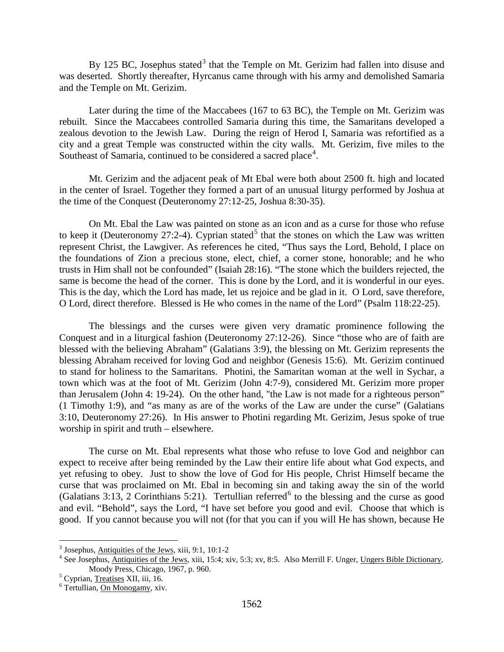By 125 BC, Josephus stated<sup>[3](#page-2-0)</sup> that the Temple on Mt. Gerizim had fallen into disuse and was deserted. Shortly thereafter, Hyrcanus came through with his army and demolished Samaria and the Temple on Mt. Gerizim.

Later during the time of the Maccabees (167 to 63 BC), the Temple on Mt. Gerizim was rebuilt. Since the Maccabees controlled Samaria during this time, the Samaritans developed a zealous devotion to the Jewish Law. During the reign of Herod I, Samaria was refortified as a city and a great Temple was constructed within the city walls. Mt. Gerizim, five miles to the Southeast of Samaria, continued to be considered a sacred place<sup>[4](#page-2-1)</sup>.

Mt. Gerizim and the adjacent peak of Mt Ebal were both about 2500 ft. high and located in the center of Israel. Together they formed a part of an unusual liturgy performed by Joshua at the time of the Conquest (Deuteronomy 27:12-25, Joshua 8:30-35).

On Mt. Ebal the Law was painted on stone as an icon and as a curse for those who refuse to keep it (Deuteronomy 27:2-4). Cyprian stated<sup>[5](#page-2-2)</sup> that the stones on which the Law was written represent Christ, the Lawgiver. As references he cited, "Thus says the Lord, Behold, I place on the foundations of Zion a precious stone, elect, chief, a corner stone, honorable; and he who trusts in Him shall not be confounded" (Isaiah 28:16). "The stone which the builders rejected, the same is become the head of the corner. This is done by the Lord, and it is wonderful in our eyes. This is the day, which the Lord has made, let us rejoice and be glad in it. O Lord, save therefore, O Lord, direct therefore. Blessed is He who comes in the name of the Lord" (Psalm 118:22-25).

The blessings and the curses were given very dramatic prominence following the Conquest and in a liturgical fashion (Deuteronomy 27:12-26). Since "those who are of faith are blessed with the believing Abraham" (Galatians 3:9), the blessing on Mt. Gerizim represents the blessing Abraham received for loving God and neighbor (Genesis 15:6). Mt. Gerizim continued to stand for holiness to the Samaritans. Photini, the Samaritan woman at the well in Sychar, a town which was at the foot of Mt. Gerizim (John 4:7-9), considered Mt. Gerizim more proper than Jerusalem (John 4: 19-24). On the other hand, "the Law is not made for a righteous person" (1 Timothy 1:9), and "as many as are of the works of the Law are under the curse" (Galatians 3:10, Deuteronomy 27:26). In His answer to Photini regarding Mt. Gerizim, Jesus spoke of true worship in spirit and truth – elsewhere.

The curse on Mt. Ebal represents what those who refuse to love God and neighbor can expect to receive after being reminded by the Law their entire life about what God expects, and yet refusing to obey. Just to show the love of God for His people, Christ Himself became the curse that was proclaimed on Mt. Ebal in becoming sin and taking away the sin of the world (Galatians 3:13, 2 Corinthians 5:21). Tertullian referred<sup>[6](#page-2-3)</sup> to the blessing and the curse as good and evil. "Behold", says the Lord, "I have set before you good and evil. Choose that which is good. If you cannot because you will not (for that you can if you will He has shown, because He

<span id="page-2-1"></span><span id="page-2-0"></span><sup>&</sup>lt;sup>3</sup> Josephus, Antiquities of the Jews, xiii, 9:1, 10:1-2<br><sup>4</sup> See Josephus, Antiquities of the Jews, xiii, 15:4; xiv, 5:3; xv, 8:5. Also Merrill F. Unger, Ungers Bible Dictionary, Moody Press, Chicago, 1967, p. 960.<br>
<sup>5</sup> Cyprian, <u>Treatises</u> XII, iii, 16.<br>
<sup>6</sup> Tertullian, On Monogamy, xiv.

<span id="page-2-2"></span>

<span id="page-2-3"></span>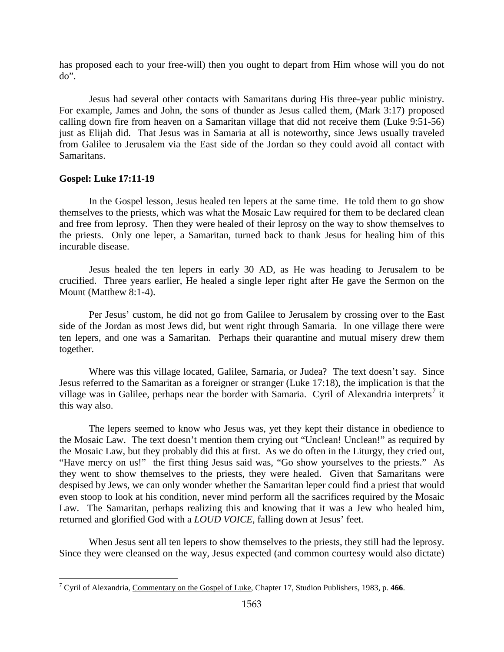has proposed each to your free-will) then you ought to depart from Him whose will you do not do".

Jesus had several other contacts with Samaritans during His three-year public ministry. For example, James and John, the sons of thunder as Jesus called them, (Mark 3:17) proposed calling down fire from heaven on a Samaritan village that did not receive them (Luke 9:51-56) just as Elijah did. That Jesus was in Samaria at all is noteworthy, since Jews usually traveled from Galilee to Jerusalem via the East side of the Jordan so they could avoid all contact with Samaritans.

## <span id="page-3-0"></span>**Gospel: Luke 17:11-19**

 $\overline{a}$ 

In the Gospel lesson, Jesus healed ten lepers at the same time. He told them to go show themselves to the priests, which was what the Mosaic Law required for them to be declared clean and free from leprosy. Then they were healed of their leprosy on the way to show themselves to the priests. Only one leper, a Samaritan, turned back to thank Jesus for healing him of this incurable disease.

Jesus healed the ten lepers in early 30 AD, as He was heading to Jerusalem to be crucified. Three years earlier, He healed a single leper right after He gave the Sermon on the Mount (Matthew 8:1-4).

Per Jesus' custom, he did not go from Galilee to Jerusalem by crossing over to the East side of the Jordan as most Jews did, but went right through Samaria. In one village there were ten lepers, and one was a Samaritan. Perhaps their quarantine and mutual misery drew them together.

Where was this village located, Galilee, Samaria, or Judea? The text doesn't say. Since Jesus referred to the Samaritan as a foreigner or stranger (Luke 17:18), the implication is that the village was in Galilee, perhaps near the border with Samaria. Cyril of Alexandria interprets<sup>[7](#page-3-1)</sup> it this way also.

The lepers seemed to know who Jesus was, yet they kept their distance in obedience to the Mosaic Law. The text doesn't mention them crying out "Unclean! Unclean!" as required by the Mosaic Law, but they probably did this at first. As we do often in the Liturgy, they cried out, "Have mercy on us!" the first thing Jesus said was, "Go show yourselves to the priests." As they went to show themselves to the priests, they were healed. Given that Samaritans were despised by Jews, we can only wonder whether the Samaritan leper could find a priest that would even stoop to look at his condition, never mind perform all the sacrifices required by the Mosaic Law. The Samaritan, perhaps realizing this and knowing that it was a Jew who healed him, returned and glorified God with a *LOUD VOICE*, falling down at Jesus' feet.

When Jesus sent all ten lepers to show themselves to the priests, they still had the leprosy. Since they were cleansed on the way, Jesus expected (and common courtesy would also dictate)

<span id="page-3-1"></span><sup>7</sup> Cyril of Alexandria, Commentary on the Gospel of Luke, Chapter 17, Studion Publishers, 1983, p. **466**.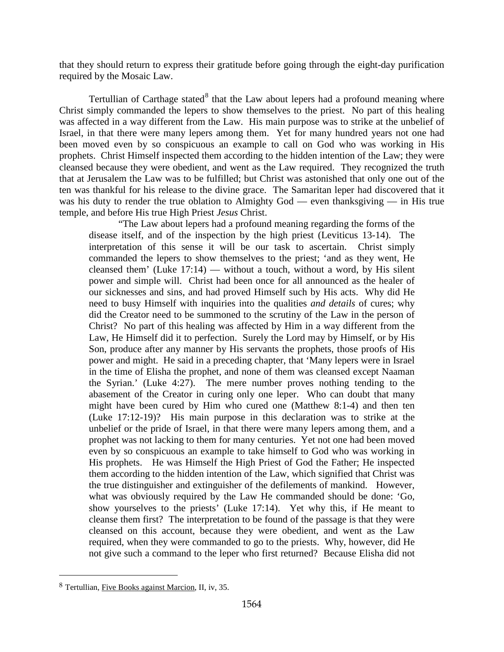that they should return to express their gratitude before going through the eight-day purification required by the Mosaic Law.

Tertullian of Carthage stated $8$  that the Law about lepers had a profound meaning where Christ simply commanded the lepers to show themselves to the priest. No part of this healing was affected in a way different from the Law. His main purpose was to strike at the unbelief of Israel, in that there were many lepers among them. Yet for many hundred years not one had been moved even by so conspicuous an example to call on God who was working in His prophets. Christ Himself inspected them according to the hidden intention of the Law; they were cleansed because they were obedient, and went as the Law required. They recognized the truth that at Jerusalem the Law was to be fulfilled; but Christ was astonished that only one out of the ten was thankful for his release to the divine grace. The Samaritan leper had discovered that it was his duty to render the true oblation to Almighty God — even thanksgiving — in His true temple, and before His true High Priest *Jesus* Christ.

"The Law about lepers had a profound meaning regarding the forms of the disease itself, and of the inspection by the high priest (Leviticus 13-14). The interpretation of this sense it will be our task to ascertain. Christ simply commanded the lepers to show themselves to the priest; 'and as they went, He cleansed them' (Luke  $17:14$ ) — without a touch, without a word, by His silent power and simple will. Christ had been once for all announced as the healer of our sicknesses and sins, and had proved Himself such by His acts. Why did He need to busy Himself with inquiries into the qualities *and details* of cures; why did the Creator need to be summoned to the scrutiny of the Law in the person of Christ? No part of this healing was affected by Him in a way different from the Law, He Himself did it to perfection. Surely the Lord may by Himself, or by His Son, produce after any manner by His servants the prophets, those proofs of His power and might. He said in a preceding chapter, that 'Many lepers were in Israel in the time of Elisha the prophet, and none of them was cleansed except Naaman the Syrian.' (Luke 4:27). The mere number proves nothing tending to the abasement of the Creator in curing only one leper. Who can doubt that many might have been cured by Him who cured one (Matthew 8:1-4) and then ten (Luke 17:12-19)? His main purpose in this declaration was to strike at the unbelief or the pride of Israel, in that there were many lepers among them, and a prophet was not lacking to them for many centuries. Yet not one had been moved even by so conspicuous an example to take himself to God who was working in His prophets. He was Himself the High Priest of God the Father; He inspected them according to the hidden intention of the Law, which signified that Christ was the true distinguisher and extinguisher of the defilements of mankind. However, what was obviously required by the Law He commanded should be done: 'Go, show yourselves to the priests' (Luke 17:14). Yet why this, if He meant to cleanse them first? The interpretation to be found of the passage is that they were cleansed on this account, because they were obedient, and went as the Law required, when they were commanded to go to the priests. Why, however, did He not give such a command to the leper who first returned? Because Elisha did not

<span id="page-4-0"></span><sup>8</sup> Tertullian, Five Books against Marcion, II, iv, 35.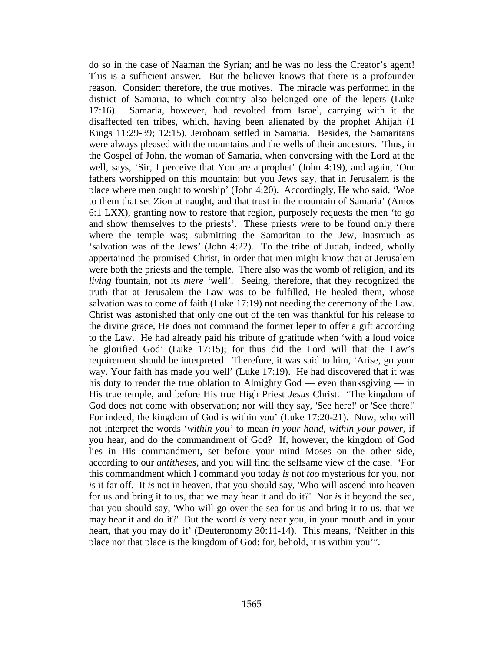do so in the case of Naaman the Syrian; and he was no less the Creator's agent! This is a sufficient answer. But the believer knows that there is a profounder reason. Consider: therefore, the true motives. The miracle was performed in the district of Samaria, to which country also belonged one of the lepers (Luke 17:16). Samaria, however, had revolted from Israel, carrying with it the disaffected ten tribes, which, having been alienated by the prophet Ahijah (1 Kings 11:29-39; 12:15), Jeroboam settled in Samaria. Besides, the Samaritans were always pleased with the mountains and the wells of their ancestors. Thus, in the Gospel of John, the woman of Samaria, when conversing with the Lord at the well, says, 'Sir, I perceive that You are a prophet' (John 4:19), and again, 'Our fathers worshipped on this mountain; but you Jews say, that in Jerusalem is the place where men ought to worship' (John 4:20). Accordingly, He who said, 'Woe to them that set Zion at naught, and that trust in the mountain of Samaria' (Amos 6:1 LXX), granting now to restore that region, purposely requests the men 'to go and show themselves to the priests'. These priests were to be found only there where the temple was; submitting the Samaritan to the Jew, inasmuch as 'salvation was of the Jews' (John 4:22). To the tribe of Judah, indeed, wholly appertained the promised Christ, in order that men might know that at Jerusalem were both the priests and the temple. There also was the womb of religion, and its *living* fountain, not its *mere '*well'. Seeing, therefore, that they recognized the truth that at Jerusalem the Law was to be fulfilled, He healed them, whose salvation was to come of faith (Luke 17:19) not needing the ceremony of the Law. Christ was astonished that only one out of the ten was thankful for his release to the divine grace, He does not command the former leper to offer a gift according to the Law. He had already paid his tribute of gratitude when 'with a loud voice he glorified God' (Luke 17:15); for thus did the Lord will that the Law's requirement should be interpreted. Therefore, it was said to him, 'Arise, go your way. Your faith has made you well' (Luke 17:19). He had discovered that it was his duty to render the true oblation to Almighty God — even thanksgiving — in His true temple, and before His true High Priest *Jesus* Christ. 'The kingdom of God does not come with observation; nor will they say, 'See here!' or 'See there!' For indeed, the kingdom of God is within you' (Luke 17:20-21). Now, who will not interpret the words '*within you'* to mean *in your hand, within your power*, if you hear, and do the commandment of God? If, however, the kingdom of God lies in His commandment, set before your mind Moses on the other side, according to our *antitheses*, and you will find the selfsame view of the case. 'For this commandment which I command you today *is* not *too* mysterious for you, nor *is* it far off. It *is* not in heaven, that you should say, 'Who will ascend into heaven for us and bring it to us, that we may hear it and do it?' Nor *is* it beyond the sea, that you should say, 'Who will go over the sea for us and bring it to us, that we may hear it and do it?' But the word *is* very near you, in your mouth and in your heart, that you may do it' (Deuteronomy 30:11-14). This means, 'Neither in this place nor that place is the kingdom of God; for, behold, it is within you'".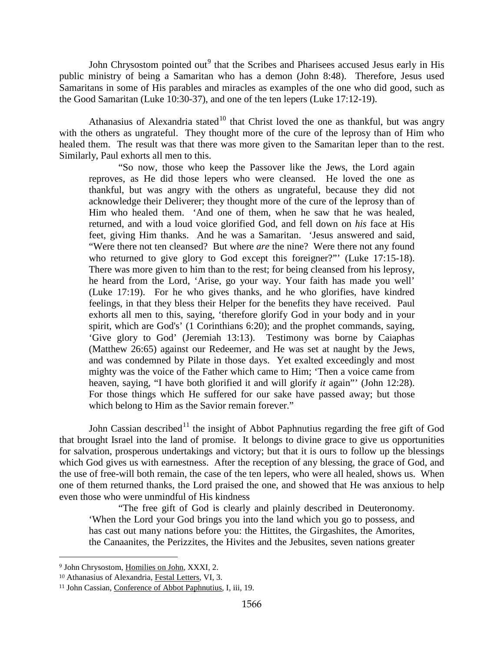John Chrysostom pointed out<sup>[9](#page-6-0)</sup> that the Scribes and Pharisees accused Jesus early in His public ministry of being a Samaritan who has a demon (John 8:48). Therefore, Jesus used Samaritans in some of His parables and miracles as examples of the one who did good, such as the Good Samaritan (Luke 10:30-37), and one of the ten lepers (Luke 17:12-19).

Athanasius of Alexandria stated<sup>[10](#page-6-1)</sup> that Christ loved the one as thankful, but was angry with the others as ungrateful. They thought more of the cure of the leprosy than of Him who healed them. The result was that there was more given to the Samaritan leper than to the rest. Similarly, Paul exhorts all men to this.

"So now, those who keep the Passover like the Jews, the Lord again reproves, as He did those lepers who were cleansed. He loved the one as thankful, but was angry with the others as ungrateful, because they did not acknowledge their Deliverer; they thought more of the cure of the leprosy than of Him who healed them. 'And one of them, when he saw that he was healed, returned, and with a loud voice glorified God, and fell down on *his* face at His feet, giving Him thanks. And he was a Samaritan. 'Jesus answered and said, "Were there not ten cleansed? But where *are* the nine? Were there not any found who returned to give glory to God except this foreigner?"" (Luke 17:15-18). There was more given to him than to the rest; for being cleansed from his leprosy, he heard from the Lord, 'Arise, go your way. Your faith has made you well' (Luke 17:19). For he who gives thanks, and he who glorifies, have kindred feelings, in that they bless their Helper for the benefits they have received. Paul exhorts all men to this, saying, 'therefore glorify God in your body and in your spirit, which are God's' (1 Corinthians 6:20); and the prophet commands, saying, 'Give glory to God' (Jeremiah 13:13). Testimony was borne by Caiaphas (Matthew 26:65) against our Redeemer, and He was set at naught by the Jews, and was condemned by Pilate in those days. Yet exalted exceedingly and most mighty was the voice of the Father which came to Him; 'Then a voice came from heaven, saying, "I have both glorified it and will glorify *it* again"' (John 12:28). For those things which He suffered for our sake have passed away; but those which belong to Him as the Savior remain forever."

John Cassian described<sup>[11](#page-6-2)</sup> the insight of Abbot Paphnutius regarding the free gift of God that brought Israel into the land of promise. It belongs to divine grace to give us opportunities for salvation, prosperous undertakings and victory; but that it is ours to follow up the blessings which God gives us with earnestness. After the reception of any blessing, the grace of God, and the use of free-will both remain, the case of the ten lepers, who were all healed, shows us. When one of them returned thanks, the Lord praised the one, and showed that He was anxious to help even those who were unmindful of His kindness

"The free gift of God is clearly and plainly described in Deuteronomy. 'When the Lord your God brings you into the land which you go to possess, and has cast out many nations before you: the Hittites, the Girgashites, the Amorites, the Canaanites, the Perizzites, the Hivites and the Jebusites, seven nations greater

<span id="page-6-0"></span> <sup>9</sup> John Chrysostom, Homilies on John, XXXI, 2.

<span id="page-6-1"></span><sup>10</sup> Athanasius of Alexandria, Festal Letters, VI, 3.

<span id="page-6-2"></span><sup>11</sup> John Cassian, Conference of Abbot Paphnutius, I, iii, 19.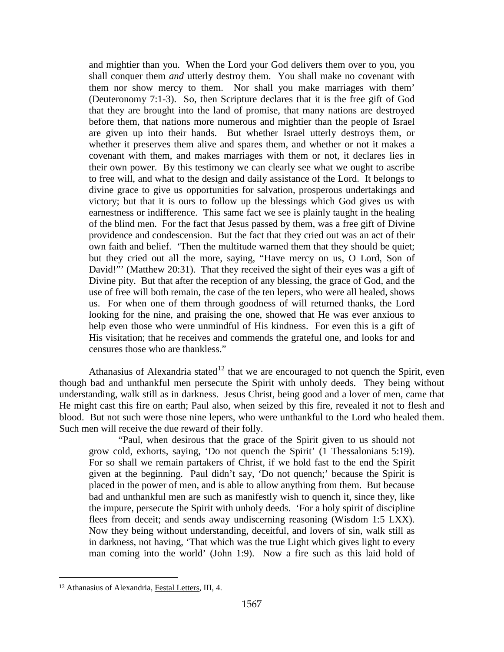and mightier than you. When the Lord your God delivers them over to you, you shall conquer them *and* utterly destroy them. You shall make no covenant with them nor show mercy to them. Nor shall you make marriages with them' (Deuteronomy 7:1-3). So, then Scripture declares that it is the free gift of God that they are brought into the land of promise, that many nations are destroyed before them, that nations more numerous and mightier than the people of Israel are given up into their hands. But whether Israel utterly destroys them, or whether it preserves them alive and spares them, and whether or not it makes a covenant with them, and makes marriages with them or not, it declares lies in their own power. By this testimony we can clearly see what we ought to ascribe to free will, and what to the design and daily assistance of the Lord. It belongs to divine grace to give us opportunities for salvation, prosperous undertakings and victory; but that it is ours to follow up the blessings which God gives us with earnestness or indifference. This same fact we see is plainly taught in the healing of the blind men. For the fact that Jesus passed by them, was a free gift of Divine providence and condescension. But the fact that they cried out was an act of their own faith and belief. 'Then the multitude warned them that they should be quiet; but they cried out all the more, saying, "Have mercy on us, O Lord, Son of David!"" (Matthew 20:31). That they received the sight of their eyes was a gift of Divine pity. But that after the reception of any blessing, the grace of God, and the use of free will both remain, the case of the ten lepers, who were all healed, shows us. For when one of them through goodness of will returned thanks, the Lord looking for the nine, and praising the one, showed that He was ever anxious to help even those who were unmindful of His kindness. For even this is a gift of His visitation; that he receives and commends the grateful one, and looks for and censures those who are thankless."

Athanasius of Alexandria stated<sup>[12](#page-7-0)</sup> that we are encouraged to not quench the Spirit, even though bad and unthankful men persecute the Spirit with unholy deeds. They being without understanding, walk still as in darkness. Jesus Christ, being good and a lover of men, came that He might cast this fire on earth; Paul also, when seized by this fire, revealed it not to flesh and blood. But not such were those nine lepers, who were unthankful to the Lord who healed them. Such men will receive the due reward of their folly.

"Paul, when desirous that the grace of the Spirit given to us should not grow cold, exhorts, saying, 'Do not quench the Spirit' (1 Thessalonians 5:19). For so shall we remain partakers of Christ, if we hold fast to the end the Spirit given at the beginning. Paul didn't say, 'Do not quench;' because the Spirit is placed in the power of men, and is able to allow anything from them. But because bad and unthankful men are such as manifestly wish to quench it, since they, like the impure, persecute the Spirit with unholy deeds. 'For a holy spirit of discipline flees from deceit; and sends away undiscerning reasoning (Wisdom 1:5 LXX). Now they being without understanding, deceitful, and lovers of sin, walk still as in darkness, not having, 'That which was the true Light which gives light to every man coming into the world' (John 1:9). Now a fire such as this laid hold of

<span id="page-7-0"></span> <sup>12</sup> Athanasius of Alexandria, Festal Letters, III, 4.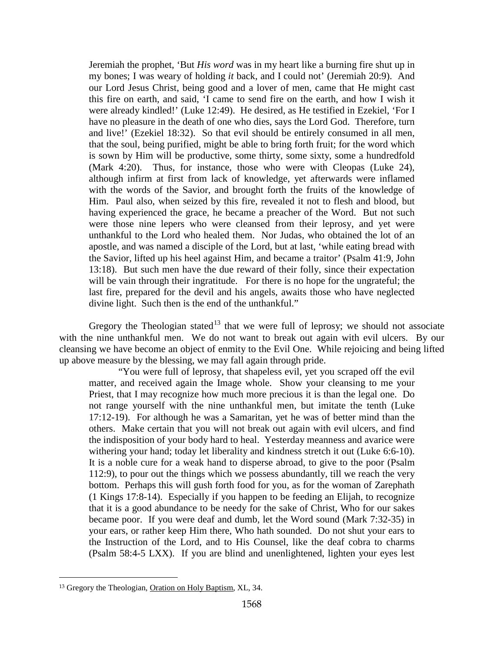Jeremiah the prophet, 'But *His word* was in my heart like a burning fire shut up in my bones; I was weary of holding *it* back, and I could not' (Jeremiah 20:9). And our Lord Jesus Christ, being good and a lover of men, came that He might cast this fire on earth, and said, 'I came to send fire on the earth, and how I wish it were already kindled!' (Luke 12:49). He desired, as He testified in Ezekiel, 'For I have no pleasure in the death of one who dies, says the Lord God. Therefore, turn and live!' (Ezekiel 18:32). So that evil should be entirely consumed in all men, that the soul, being purified, might be able to bring forth fruit; for the word which is sown by Him will be productive, some thirty, some sixty, some a hundredfold (Mark 4:20). Thus, for instance, those who were with Cleopas (Luke 24), although infirm at first from lack of knowledge, yet afterwards were inflamed with the words of the Savior, and brought forth the fruits of the knowledge of Him. Paul also, when seized by this fire, revealed it not to flesh and blood, but having experienced the grace, he became a preacher of the Word. But not such were those nine lepers who were cleansed from their leprosy, and yet were unthankful to the Lord who healed them. Nor Judas, who obtained the lot of an apostle, and was named a disciple of the Lord, but at last, 'while eating bread with the Savior, lifted up his heel against Him, and became a traitor' (Psalm 41:9, John 13:18). But such men have the due reward of their folly, since their expectation will be vain through their ingratitude. For there is no hope for the ungrateful; the last fire, prepared for the devil and his angels, awaits those who have neglected divine light. Such then is the end of the unthankful."

Gregory the Theologian stated<sup>[13](#page-8-0)</sup> that we were full of leprosy; we should not associate with the nine unthankful men. We do not want to break out again with evil ulcers. By our cleansing we have become an object of enmity to the Evil One. While rejoicing and being lifted up above measure by the blessing, we may fall again through pride.

"You were full of leprosy, that shapeless evil, yet you scraped off the evil matter, and received again the Image whole. Show your cleansing to me your Priest, that I may recognize how much more precious it is than the legal one. Do not range yourself with the nine unthankful men, but imitate the tenth (Luke 17:12-19). For although he was a Samaritan, yet he was of better mind than the others. Make certain that you will not break out again with evil ulcers, and find the indisposition of your body hard to heal. Yesterday meanness and avarice were withering your hand; today let liberality and kindness stretch it out (Luke 6:6-10). It is a noble cure for a weak hand to disperse abroad, to give to the poor (Psalm 112:9), to pour out the things which we possess abundantly, till we reach the very bottom. Perhaps this will gush forth food for you, as for the woman of Zarephath (1 Kings 17:8-14). Especially if you happen to be feeding an Elijah, to recognize that it is a good abundance to be needy for the sake of Christ, Who for our sakes became poor. If you were deaf and dumb, let the Word sound (Mark 7:32-35) in your ears, or rather keep Him there, Who hath sounded. Do not shut your ears to the Instruction of the Lord, and to His Counsel, like the deaf cobra to charms (Psalm 58:4-5 LXX). If you are blind and unenlightened, lighten your eyes lest

<span id="page-8-0"></span> <sup>13</sup> Gregory the Theologian, Oration on Holy Baptism, XL, 34.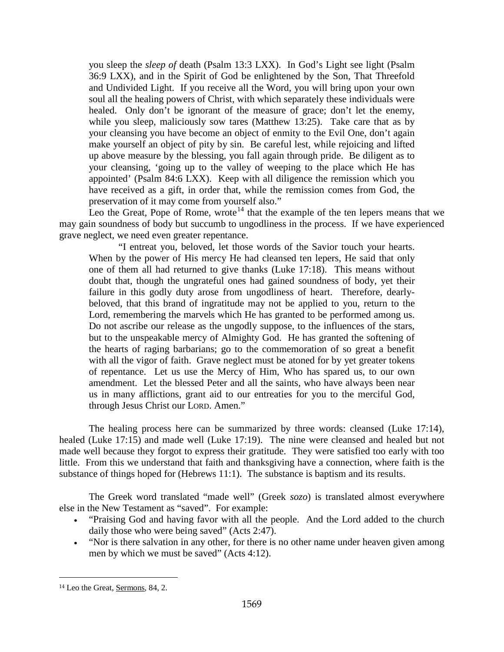you sleep the *sleep of* death (Psalm 13:3 LXX). In God's Light see light (Psalm 36:9 LXX), and in the Spirit of God be enlightened by the Son, That Threefold and Undivided Light. If you receive all the Word, you will bring upon your own soul all the healing powers of Christ, with which separately these individuals were healed. Only don't be ignorant of the measure of grace; don't let the enemy, while you sleep, maliciously sow tares (Matthew 13:25). Take care that as by your cleansing you have become an object of enmity to the Evil One, don't again make yourself an object of pity by sin. Be careful lest, while rejoicing and lifted up above measure by the blessing, you fall again through pride. Be diligent as to your cleansing, 'going up to the valley of weeping to the place which He has appointed' (Psalm 84:6 LXX). Keep with all diligence the remission which you have received as a gift, in order that, while the remission comes from God, the preservation of it may come from yourself also."

Leo the Great, Pope of Rome, wrote<sup>[14](#page-9-0)</sup> that the example of the ten lepers means that we may gain soundness of body but succumb to ungodliness in the process. If we have experienced grave neglect, we need even greater repentance.

"I entreat you, beloved, let those words of the Savior touch your hearts. When by the power of His mercy He had cleansed ten lepers, He said that only one of them all had returned to give thanks (Luke 17:18). This means without doubt that, though the ungrateful ones had gained soundness of body, yet their failure in this godly duty arose from ungodliness of heart. Therefore, dearlybeloved, that this brand of ingratitude may not be applied to you, return to the Lord, remembering the marvels which He has granted to be performed among us. Do not ascribe our release as the ungodly suppose, to the influences of the stars, but to the unspeakable mercy of Almighty God. He has granted the softening of the hearts of raging barbarians; go to the commemoration of so great a benefit with all the vigor of faith. Grave neglect must be atoned for by yet greater tokens of repentance. Let us use the Mercy of Him, Who has spared us, to our own amendment. Let the blessed Peter and all the saints, who have always been near us in many afflictions, grant aid to our entreaties for you to the merciful God, through Jesus Christ our LORD. Amen."

The healing process here can be summarized by three words: cleansed (Luke 17:14), healed (Luke 17:15) and made well (Luke 17:19). The nine were cleansed and healed but not made well because they forgot to express their gratitude. They were satisfied too early with too little. From this we understand that faith and thanksgiving have a connection, where faith is the substance of things hoped for (Hebrews 11:1). The substance is baptism and its results.

The Greek word translated "made well" (Greek *sozo*) is translated almost everywhere else in the New Testament as "saved". For example:

- "Praising God and having favor with all the people. And the Lord added to the church daily those who were being saved" (Acts 2:47).
- "Nor is there salvation in any other, for there is no other name under heaven given among men by which we must be saved" (Acts 4:12).

<span id="page-9-0"></span> <sup>14</sup> Leo the Great, Sermons, 84, 2.